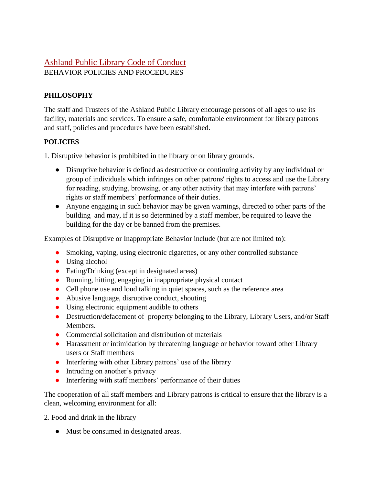## Ashland Public Library Code of Conduct BEHAVIOR POLICIES AND PROCEDURES

## **PHILOSOPHY**

The staff and Trustees of the Ashland Public Library encourage persons of all ages to use its facility, materials and services. To ensure a safe, comfortable environment for library patrons and staff, policies and procedures have been established.

## **POLICIES**

1. Disruptive behavior is prohibited in the library or on library grounds.

- Disruptive behavior is defined as destructive or continuing activity by any individual or group of individuals which infringes on other patrons' rights to access and use the Library for reading, studying, browsing, or any other activity that may interfere with patrons' rights or staff members' performance of their duties.
- Anyone engaging in such behavior may be given warnings, directed to other parts of the building and may, if it is so determined by a staff member, be required to leave the building for the day or be banned from the premises.

Examples of Disruptive or Inappropriate Behavior include (but are not limited to):

- Smoking, vaping, using electronic cigarettes, or any other controlled substance
- Using alcohol
- Eating/Drinking (except in designated areas)
- Running, hitting, engaging in inappropriate physical contact
- Cell phone use and loud talking in quiet spaces, such as the reference area
- Abusive language, disruptive conduct, shouting
- Using electronic equipment audible to others
- Destruction/defacement of property belonging to the Library, Library Users, and/or Staff Members.
- Commercial solicitation and distribution of materials
- Harassment or intimidation by threatening language or behavior toward other Library users or Staff members
- Interfering with other Library patrons' use of the library
- Intruding on another's privacy
- Interfering with staff members' performance of their duties

The cooperation of all staff members and Library patrons is critical to ensure that the library is a clean, welcoming environment for all:

2. Food and drink in the library

• Must be consumed in designated areas.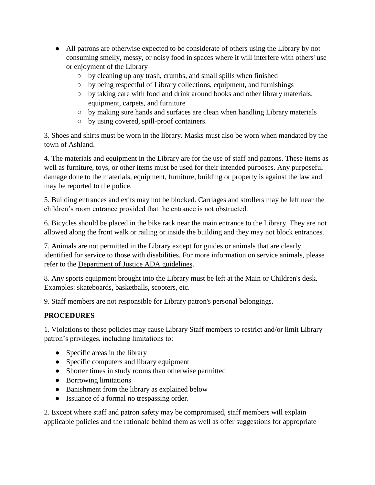- All patrons are otherwise expected to be considerate of others using the Library by not consuming smelly, messy, or noisy food in spaces where it will interfere with others' use or enjoyment of the Library
	- by cleaning up any trash, crumbs, and small spills when finished
	- by being respectful of Library collections, equipment, and furnishings
	- by taking care with food and drink around books and other library materials, equipment, carpets, and furniture
	- by making sure hands and surfaces are clean when handling Library materials
	- by using covered, spill-proof containers.

3. Shoes and shirts must be worn in the library. Masks must also be worn when mandated by the town of Ashland.

4. The materials and equipment in the Library are for the use of staff and patrons. These items as well as furniture, toys, or other items must be used for their intended purposes. Any purposeful damage done to the materials, equipment, furniture, building or property is against the law and may be reported to the police.

5. Building entrances and exits may not be blocked. Carriages and strollers may be left near the children's room entrance provided that the entrance is not obstructed.

6. Bicycles should be placed in the bike rack near the main entrance to the Library. They are not allowed along the front walk or railing or inside the building and they may not block entrances.

7. Animals are not permitted in the Library except for guides or animals that are clearly identified for service to those with disabilities. For more information on service animals, please refer to the [Department of Justice ADA guidelines.](https://www.ada.gov/service_animals_2010.htm)

8. Any sports equipment brought into the Library must be left at the Main or Children's desk. Examples: skateboards, basketballs, scooters, etc.

9. Staff members are not responsible for Library patron's personal belongings.

## **PROCEDURES**

1. Violations to these policies may cause Library Staff members to restrict and/or limit Library patron's privileges, including limitations to:

- Specific areas in the library
- Specific computers and library equipment
- Shorter times in study rooms than otherwise permitted
- Borrowing limitations
- Banishment from the library as explained below
- Issuance of a formal no trespassing order.

2. Except where staff and patron safety may be compromised, staff members will explain applicable policies and the rationale behind them as well as offer suggestions for appropriate